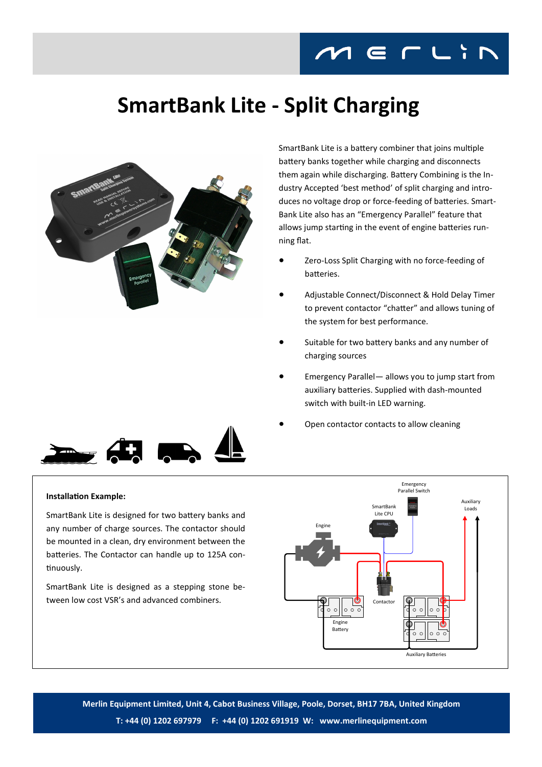## **SmartBank Lite - Split Charging**



SmartBank Lite is a battery combiner that joins multiple battery banks together while charging and disconnects them again while discharging. Battery Combining is the Industry Accepted 'best method' of split charging and introduces no voltage drop or force-feeding of batteries. Smart-Bank Lite also has an "Emergency Parallel" feature that allows jump starting in the event of engine batteries running flat.

- Zero-Loss Split Charging with no force-feeding of batteries.
- Adjustable Connect/Disconnect & Hold Delay Timer to prevent contactor "chatter" and allows tuning of the system for best performance.
- Suitable for two battery banks and any number of charging sources
- Emergency Parallel— allows you to jump start from auxiliary batteries. Supplied with dash-mounted switch with built-in LED warning.
- Open contactor contacts to allow cleaning



## **Installation Example:**

SmartBank Lite is designed for two battery banks and any number of charge sources. The contactor should be mounted in a clean, dry environment between the batteries. The Contactor can handle up to 125A continuously.

SmartBank Lite is designed as a stepping stone between low cost VSR's and advanced combiners.